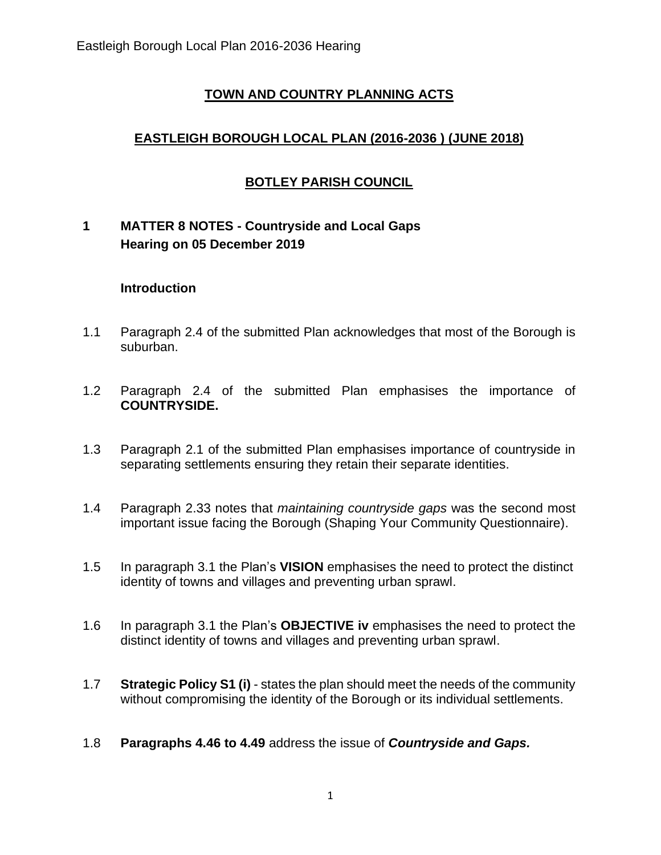## **TOWN AND COUNTRY PLANNING ACTS**

# **EASTLEIGH BOROUGH LOCAL PLAN (2016-2036 ) (JUNE 2018)**

# **BOTLEY PARISH COUNCIL**

# **1 MATTER 8 NOTES - Countryside and Local Gaps Hearing on 05 December 2019**

#### **Introduction**

- 1.1 Paragraph 2.4 of the submitted Plan acknowledges that most of the Borough is suburban.
- 1.2 Paragraph 2.4 of the submitted Plan emphasises the importance of **COUNTRYSIDE.**
- 1.3 Paragraph 2.1 of the submitted Plan emphasises importance of countryside in separating settlements ensuring they retain their separate identities.
- 1.4 Paragraph 2.33 notes that *maintaining countryside gaps* was the second most important issue facing the Borough (Shaping Your Community Questionnaire).
- 1.5 In paragraph 3.1 the Plan's **VISION** emphasises the need to protect the distinct identity of towns and villages and preventing urban sprawl.
- 1.6 In paragraph 3.1 the Plan's **OBJECTIVE iv** emphasises the need to protect the distinct identity of towns and villages and preventing urban sprawl.
- 1.7 **Strategic Policy S1 (i)** states the plan should meet the needs of the community without compromising the identity of the Borough or its individual settlements.
- 1.8 **Paragraphs 4.46 to 4.49** address the issue of *Countryside and Gaps.*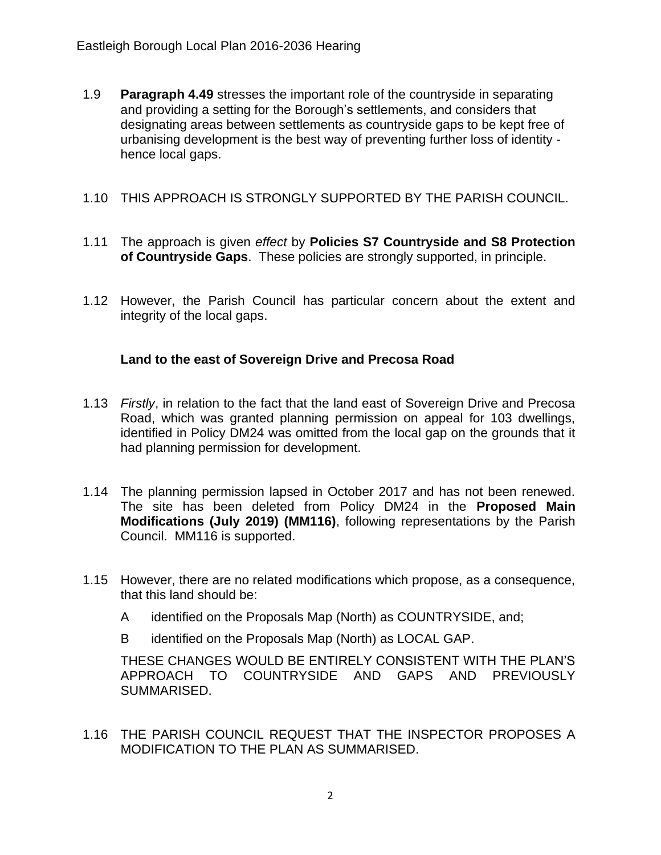- 1.9 **Paragraph 4.49** stresses the important role of the countryside in separating and providing a setting for the Borough's settlements, and considers that designating areas between settlements as countryside gaps to be kept free of urbanising development is the best way of preventing further loss of identity hence local gaps.
- 1.10 THIS APPROACH IS STRONGLY SUPPORTED BY THE PARISH COUNCIL.
- 1.11 The approach is given *effect* by **Policies S7 Countryside and S8 Protection of Countryside Gaps**. These policies are strongly supported, in principle.
- 1.12 However, the Parish Council has particular concern about the extent and integrity of the local gaps.

#### **Land to the east of Sovereign Drive and Precosa Road**

- 1.13 *Firstly*, in relation to the fact that the land east of Sovereign Drive and Precosa Road, which was granted planning permission on appeal for 103 dwellings, identified in Policy DM24 was omitted from the local gap on the grounds that it had planning permission for development.
- 1.14 The planning permission lapsed in October 2017 and has not been renewed. The site has been deleted from Policy DM24 in the **Proposed Main Modifications (July 2019) (MM116)**, following representations by the Parish Council. MM116 is supported.
- 1.15 However, there are no related modifications which propose, as a consequence, that this land should be:
	- A identified on the Proposals Map (North) as COUNTRYSIDE, and;
	- B identified on the Proposals Map (North) as LOCAL GAP.

THESE CHANGES WOULD BE ENTIRELY CONSISTENT WITH THE PLAN'S APPROACH TO COUNTRYSIDE AND GAPS AND PREVIOUSLY SUMMARISED.

1.16 THE PARISH COUNCIL REQUEST THAT THE INSPECTOR PROPOSES A MODIFICATION TO THE PLAN AS SUMMARISED.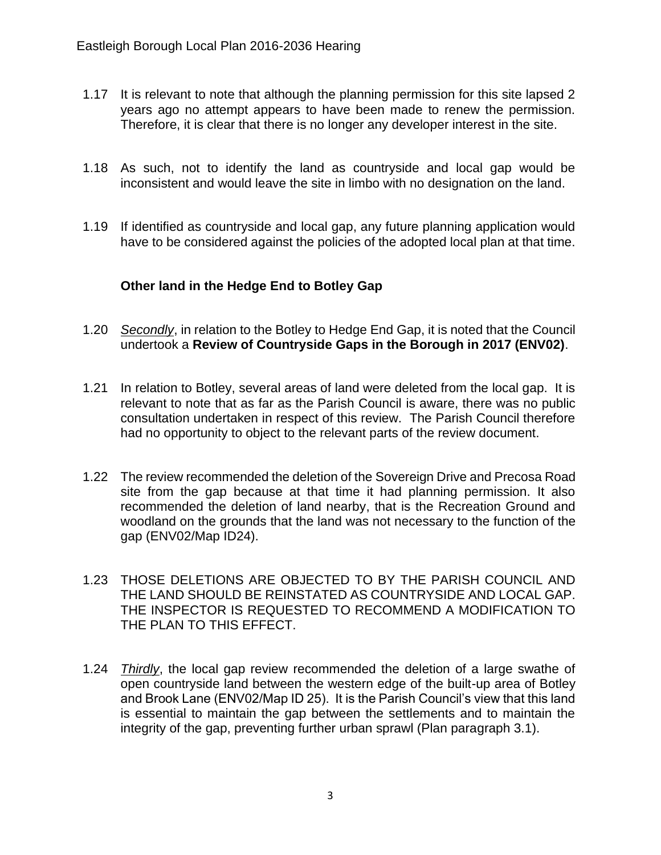- 1.17 It is relevant to note that although the planning permission for this site lapsed 2 years ago no attempt appears to have been made to renew the permission. Therefore, it is clear that there is no longer any developer interest in the site.
- 1.18 As such, not to identify the land as countryside and local gap would be inconsistent and would leave the site in limbo with no designation on the land.
- 1.19 If identified as countryside and local gap, any future planning application would have to be considered against the policies of the adopted local plan at that time.

### **Other land in the Hedge End to Botley Gap**

- 1.20 *Secondly*, in relation to the Botley to Hedge End Gap, it is noted that the Council undertook a **Review of Countryside Gaps in the Borough in 2017 (ENV02)**.
- 1.21 In relation to Botley, several areas of land were deleted from the local gap. It is relevant to note that as far as the Parish Council is aware, there was no public consultation undertaken in respect of this review. The Parish Council therefore had no opportunity to object to the relevant parts of the review document.
- 1.22 The review recommended the deletion of the Sovereign Drive and Precosa Road site from the gap because at that time it had planning permission. It also recommended the deletion of land nearby, that is the Recreation Ground and woodland on the grounds that the land was not necessary to the function of the gap (ENV02/Map ID24).
- 1.23 THOSE DELETIONS ARE OBJECTED TO BY THE PARISH COUNCIL AND THE LAND SHOULD BE REINSTATED AS COUNTRYSIDE AND LOCAL GAP. THE INSPECTOR IS REQUESTED TO RECOMMEND A MODIFICATION TO THE PLAN TO THIS EFFECT.
- 1.24 *Thirdly*, the local gap review recommended the deletion of a large swathe of open countryside land between the western edge of the built-up area of Botley and Brook Lane (ENV02/Map ID 25). It is the Parish Council's view that this land is essential to maintain the gap between the settlements and to maintain the integrity of the gap, preventing further urban sprawl (Plan paragraph 3.1).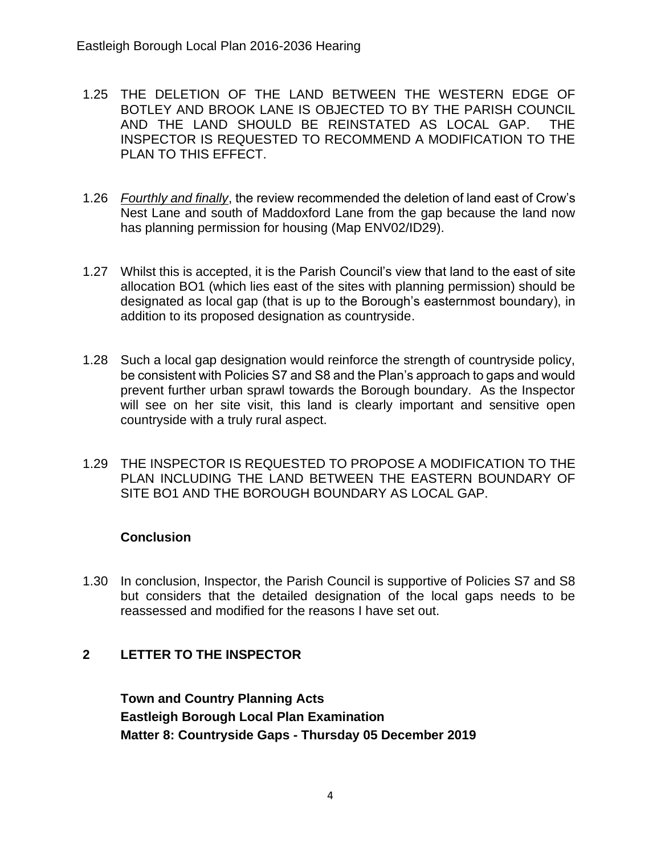- 1.25 THE DELETION OF THE LAND BETWEEN THE WESTERN EDGE OF BOTLEY AND BROOK LANE IS OBJECTED TO BY THE PARISH COUNCIL AND THE LAND SHOULD BE REINSTATED AS LOCAL GAP. THE INSPECTOR IS REQUESTED TO RECOMMEND A MODIFICATION TO THE PLAN TO THIS EFFECT.
- 1.26 *Fourthly and finally*, the review recommended the deletion of land east of Crow's Nest Lane and south of Maddoxford Lane from the gap because the land now has planning permission for housing (Map ENV02/ID29).
- 1.27 Whilst this is accepted, it is the Parish Council's view that land to the east of site allocation BO1 (which lies east of the sites with planning permission) should be designated as local gap (that is up to the Borough's easternmost boundary), in addition to its proposed designation as countryside.
- 1.28 Such a local gap designation would reinforce the strength of countryside policy, be consistent with Policies S7 and S8 and the Plan's approach to gaps and would prevent further urban sprawl towards the Borough boundary. As the Inspector will see on her site visit, this land is clearly important and sensitive open countryside with a truly rural aspect.
- 1.29 THE INSPECTOR IS REQUESTED TO PROPOSE A MODIFICATION TO THE PLAN INCLUDING THE LAND BETWEEN THE EASTERN BOUNDARY OF SITE BO1 AND THE BOROUGH BOUNDARY AS LOCAL GAP.

### **Conclusion**

1.30 In conclusion, Inspector, the Parish Council is supportive of Policies S7 and S8 but considers that the detailed designation of the local gaps needs to be reassessed and modified for the reasons I have set out.

### **2 LETTER TO THE INSPECTOR**

**Town and Country Planning Acts Eastleigh Borough Local Plan Examination Matter 8: Countryside Gaps - Thursday 05 December 2019**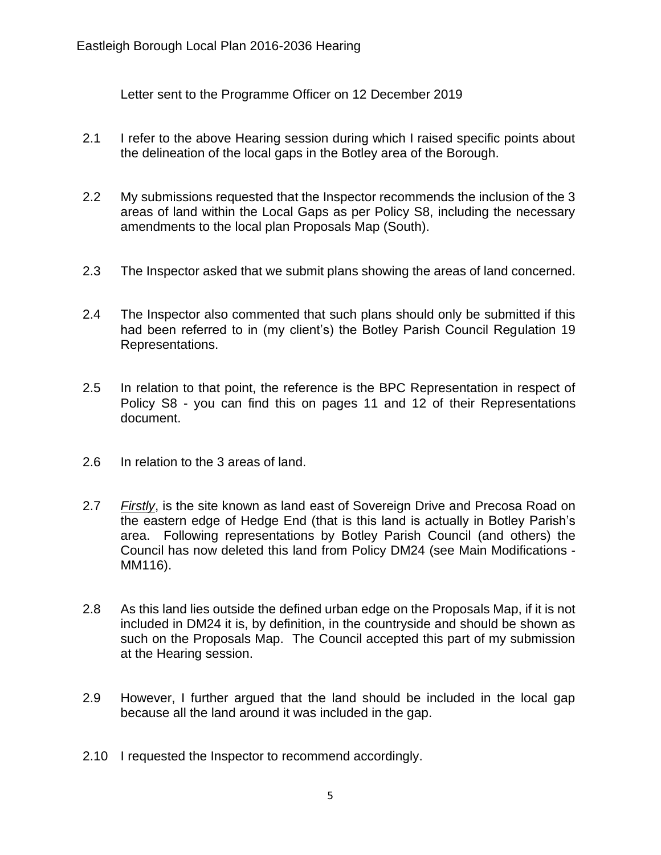Letter sent to the Programme Officer on 12 December 2019

- 2.1 I refer to the above Hearing session during which I raised specific points about the delineation of the local gaps in the Botley area of the Borough.
- 2.2 My submissions requested that the Inspector recommends the inclusion of the 3 areas of land within the Local Gaps as per Policy S8, including the necessary amendments to the local plan Proposals Map (South).
- 2.3 The Inspector asked that we submit plans showing the areas of land concerned.
- 2.4 The Inspector also commented that such plans should only be submitted if this had been referred to in (my client's) the Botley Parish Council Regulation 19 Representations.
- 2.5 In relation to that point, the reference is the BPC Representation in respect of Policy S8 - you can find this on pages 11 and 12 of their Representations document.
- 2.6 In relation to the 3 areas of land.
- 2.7 *Firstly*, is the site known as land east of Sovereign Drive and Precosa Road on the eastern edge of Hedge End (that is this land is actually in Botley Parish's area. Following representations by Botley Parish Council (and others) the Council has now deleted this land from Policy DM24 (see Main Modifications - MM116).
- 2.8 As this land lies outside the defined urban edge on the Proposals Map, if it is not included in DM24 it is, by definition, in the countryside and should be shown as such on the Proposals Map. The Council accepted this part of my submission at the Hearing session.
- 2.9 However, I further argued that the land should be included in the local gap because all the land around it was included in the gap.
- 2.10 I requested the Inspector to recommend accordingly.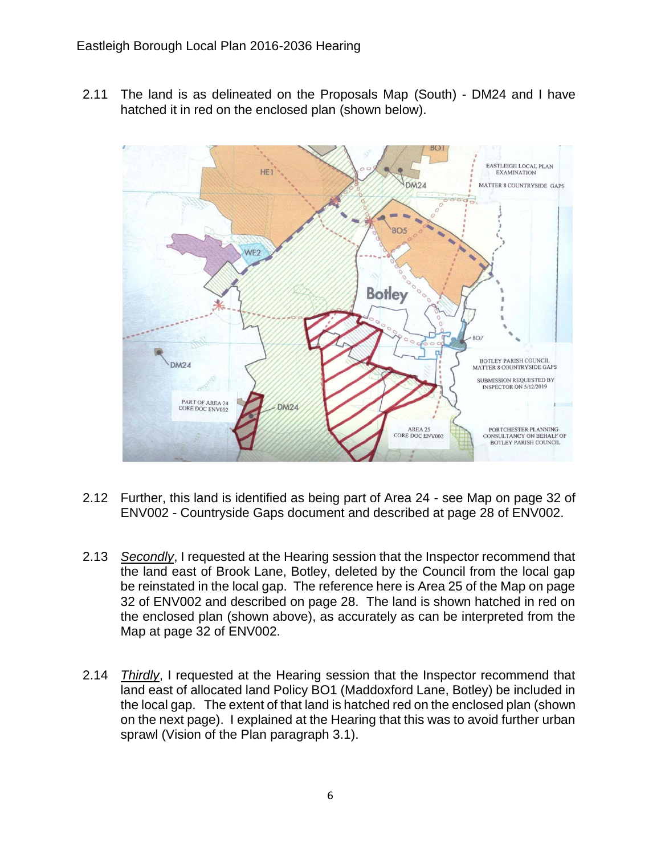2.11 The land is as delineated on the Proposals Map (South) - DM24 and I have hatched it in red on the enclosed plan (shown below).



- 2.12 Further, this land is identified as being part of Area 24 see Map on page 32 of ENV002 - Countryside Gaps document and described at page 28 of ENV002.
- 2.13 *Secondly*, I requested at the Hearing session that the Inspector recommend that the land east of Brook Lane, Botley, deleted by the Council from the local gap be reinstated in the local gap. The reference here is Area 25 of the Map on page 32 of ENV002 and described on page 28. The land is shown hatched in red on the enclosed plan (shown above), as accurately as can be interpreted from the Map at page 32 of ENV002.
- 2.14 *Thirdly*, I requested at the Hearing session that the Inspector recommend that land east of allocated land Policy BO1 (Maddoxford Lane, Botley) be included in the local gap. The extent of that land is hatched red on the enclosed plan (shown on the next page). I explained at the Hearing that this was to avoid further urban sprawl (Vision of the Plan paragraph 3.1).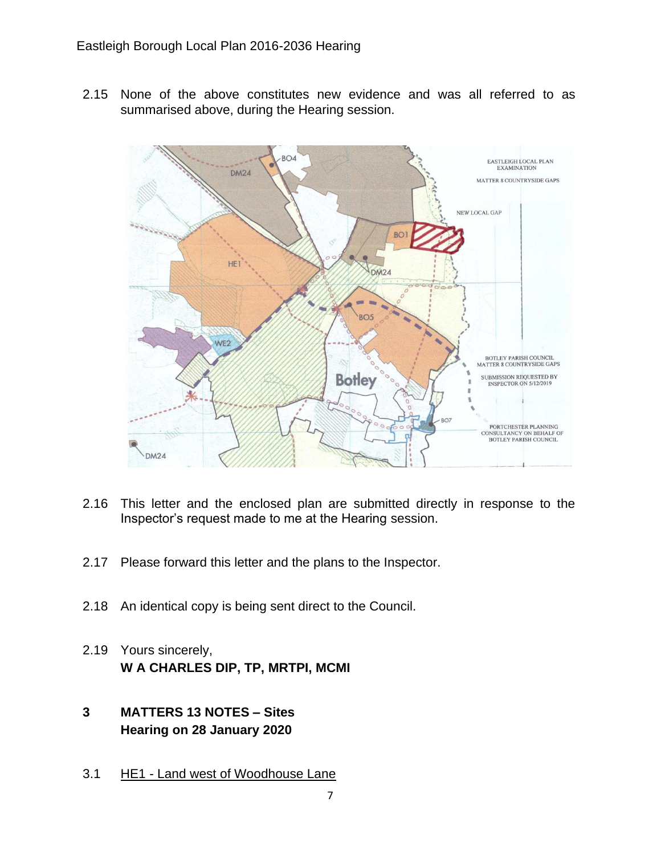2.15 None of the above constitutes new evidence and was all referred to as summarised above, during the Hearing session.



- 2.16 This letter and the enclosed plan are submitted directly in response to the Inspector's request made to me at the Hearing session.
- 2.17 Please forward this letter and the plans to the Inspector.
- 2.18 An identical copy is being sent direct to the Council.
- 2.19 Yours sincerely, **W A CHARLES DIP, TP, MRTPI, MCMI**
- **3 MATTERS 13 NOTES – Sites Hearing on 28 January 2020**
- 3.1 HE1 Land west of Woodhouse Lane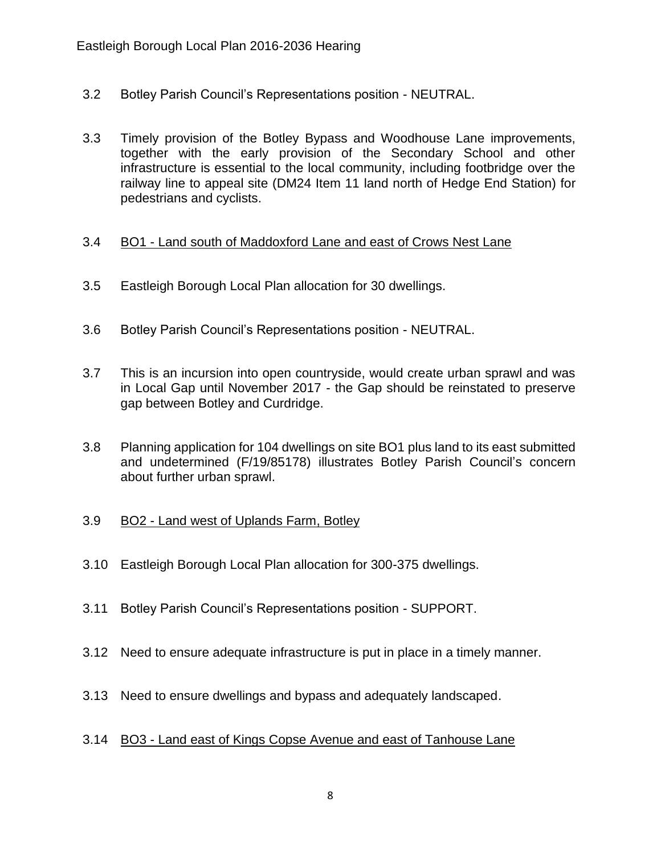- 3.2 Botley Parish Council's Representations position NEUTRAL.
- 3.3 Timely provision of the Botley Bypass and Woodhouse Lane improvements, together with the early provision of the Secondary School and other infrastructure is essential to the local community, including footbridge over the railway line to appeal site (DM24 Item 11 land north of Hedge End Station) for pedestrians and cyclists.

#### 3.4 BO1 - Land south of Maddoxford Lane and east of Crows Nest Lane

- 3.5 Eastleigh Borough Local Plan allocation for 30 dwellings.
- 3.6 Botley Parish Council's Representations position NEUTRAL.
- 3.7 This is an incursion into open countryside, would create urban sprawl and was in Local Gap until November 2017 - the Gap should be reinstated to preserve gap between Botley and Curdridge.
- 3.8 Planning application for 104 dwellings on site BO1 plus land to its east submitted and undetermined (F/19/85178) illustrates Botley Parish Council's concern about further urban sprawl.

### 3.9 BO2 - Land west of Uplands Farm, Botley

- 3.10 Eastleigh Borough Local Plan allocation for 300-375 dwellings.
- 3.11 Botley Parish Council's Representations position SUPPORT.
- 3.12 Need to ensure adequate infrastructure is put in place in a timely manner.
- 3.13 Need to ensure dwellings and bypass and adequately landscaped.

#### 3.14 BO3 - Land east of Kings Copse Avenue and east of Tanhouse Lane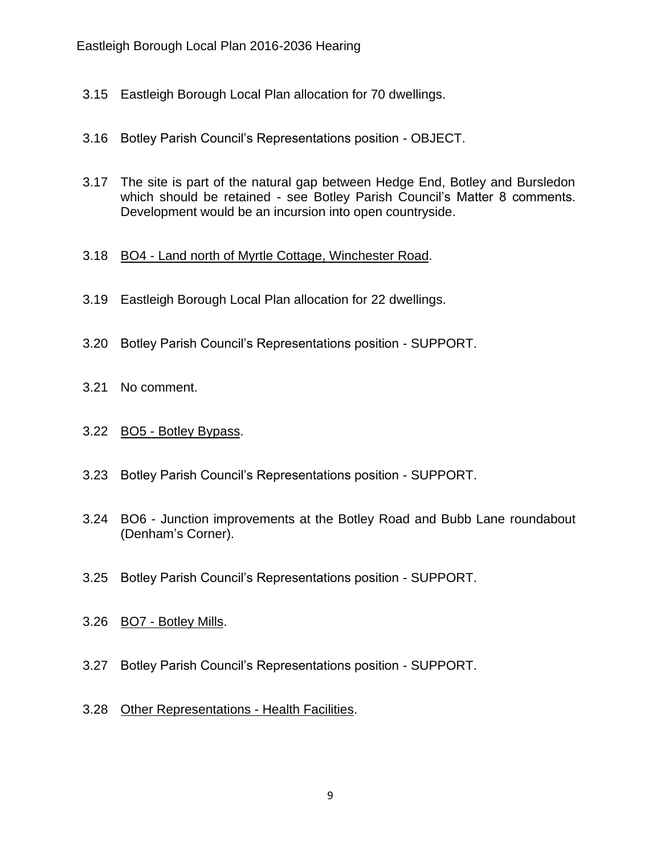- 3.15 Eastleigh Borough Local Plan allocation for 70 dwellings.
- 3.16 Botley Parish Council's Representations position OBJECT.
- 3.17 The site is part of the natural gap between Hedge End, Botley and Bursledon which should be retained - see Botley Parish Council's Matter 8 comments. Development would be an incursion into open countryside.

#### 3.18 BO4 - Land north of Myrtle Cottage, Winchester Road.

- 3.19 Eastleigh Borough Local Plan allocation for 22 dwellings.
- 3.20 Botley Parish Council's Representations position SUPPORT.
- 3.21 No comment.
- 3.22 BO5 Botley Bypass.
- 3.23 Botley Parish Council's Representations position SUPPORT.
- 3.24 BO6 Junction improvements at the Botley Road and Bubb Lane roundabout (Denham's Corner).
- 3.25 Botley Parish Council's Representations position SUPPORT.
- 3.26 BO7 Botley Mills.
- 3.27 Botley Parish Council's Representations position SUPPORT.
- 3.28 Other Representations Health Facilities.